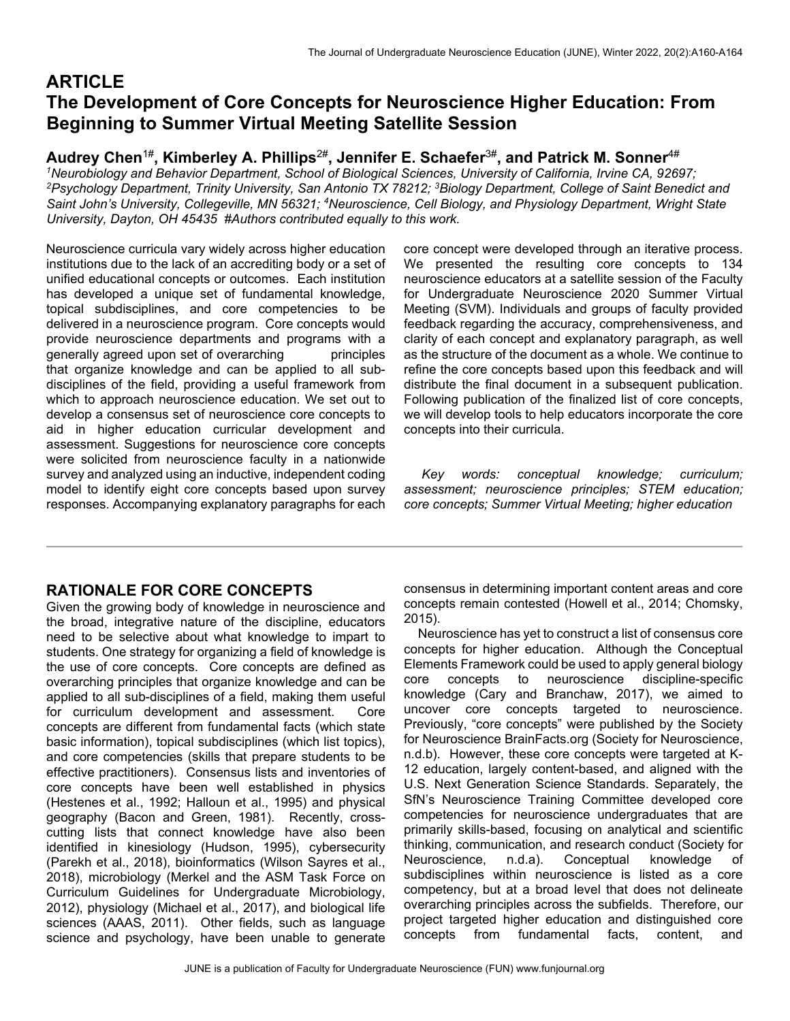# **ARTICLE The Development of Core Concepts for Neuroscience Higher Education: From Beginning to Summer Virtual Meeting Satellite Session**

## **Audrey Chen**1#**, Kimberley A. Phillips**2#**, Jennifer E. Schaefer**3#**, and Patrick M. Sonner**4#

<sup>1</sup>Neurobiology and Behavior Department, School of Biological Sciences, University of California, Irvine CA, 92697; *2 Psychology Department, Trinity University, San Antonio TX 78212; 3 Biology Department, College of Saint Benedict and*  Saint John's University, Collegeville, MN 56321; <sup>4</sup>Neuroscience, Cell Biology, and Physiology Department, Wright State *University, Dayton, OH 45435 #Authors contributed equally to this work.* 

Neuroscience curricula vary widely across higher education institutions due to the lack of an accrediting body or a set of unified educational concepts or outcomes. Each institution has developed a unique set of fundamental knowledge, topical subdisciplines, and core competencies to be delivered in a neuroscience program. Core concepts would provide neuroscience departments and programs with a generally agreed upon set of overarching principles that organize knowledge and can be applied to all subdisciplines of the field, providing a useful framework from which to approach neuroscience education. We set out to develop a consensus set of neuroscience core concepts to aid in higher education curricular development and assessment. Suggestions for neuroscience core concepts were solicited from neuroscience faculty in a nationwide survey and analyzed using an inductive, independent coding model to identify eight core concepts based upon survey responses. Accompanying explanatory paragraphs for each core concept were developed through an iterative process. We presented the resulting core concepts to 134 neuroscience educators at a satellite session of the Faculty for Undergraduate Neuroscience 2020 Summer Virtual Meeting (SVM). Individuals and groups of faculty provided feedback regarding the accuracy, comprehensiveness, and clarity of each concept and explanatory paragraph, as well as the structure of the document as a whole. We continue to refine the core concepts based upon this feedback and will distribute the final document in a subsequent publication. Following publication of the finalized list of core concepts, we will develop tools to help educators incorporate the core concepts into their curricula.

 *Key words: conceptual knowledge; curriculum; assessment; neuroscience principles; STEM education; core concepts; Summer Virtual Meeting; higher education* 

### **RATIONALE FOR CORE CONCEPTS**

Given the growing body of knowledge in neuroscience and the broad, integrative nature of the discipline, educators need to be selective about what knowledge to impart to students. One strategy for organizing a field of knowledge is the use of core concepts. Core concepts are defined as overarching principles that organize knowledge and can be applied to all sub-disciplines of a field, making them useful for curriculum development and assessment. Core concepts are different from fundamental facts (which state basic information), topical subdisciplines (which list topics), and core competencies (skills that prepare students to be effective practitioners). Consensus lists and inventories of core concepts have been well established in physics (Hestenes et al., 1992; Halloun et al., 1995) and physical geography (Bacon and Green, 1981). Recently, crosscutting lists that connect knowledge have also been identified in kinesiology (Hudson, 1995), cybersecurity (Parekh et al., 2018), bioinformatics (Wilson Sayres et al., 2018), microbiology (Merkel and the ASM Task Force on Curriculum Guidelines for Undergraduate Microbiology, 2012), physiology (Michael et al., 2017), and biological life sciences (AAAS, 2011). Other fields, such as language science and psychology, have been unable to generate

consensus in determining important content areas and core concepts remain contested (Howell et al., 2014; Chomsky, 2015).

 Neuroscience has yet to construct a list of consensus core concepts for higher education. Although the Conceptual Elements Framework could be used to apply general biology core concepts to neuroscience discipline-specific knowledge (Cary and Branchaw, 2017), we aimed to uncover core concepts targeted to neuroscience. Previously, "core concepts" were published by the Society for Neuroscience BrainFacts.org (Society for Neuroscience, n.d.b). However, these core concepts were targeted at K-12 education, largely content-based, and aligned with the U.S. Next Generation Science Standards. Separately, the SfN's Neuroscience Training Committee developed core competencies for neuroscience undergraduates that are primarily skills-based, focusing on analytical and scientific thinking, communication, and research conduct (Society for Neuroscience, n.d.a). Conceptual knowledge of subdisciplines within neuroscience is listed as a core competency, but at a broad level that does not delineate overarching principles across the subfields. Therefore, our project targeted higher education and distinguished core concepts from fundamental facts, content, and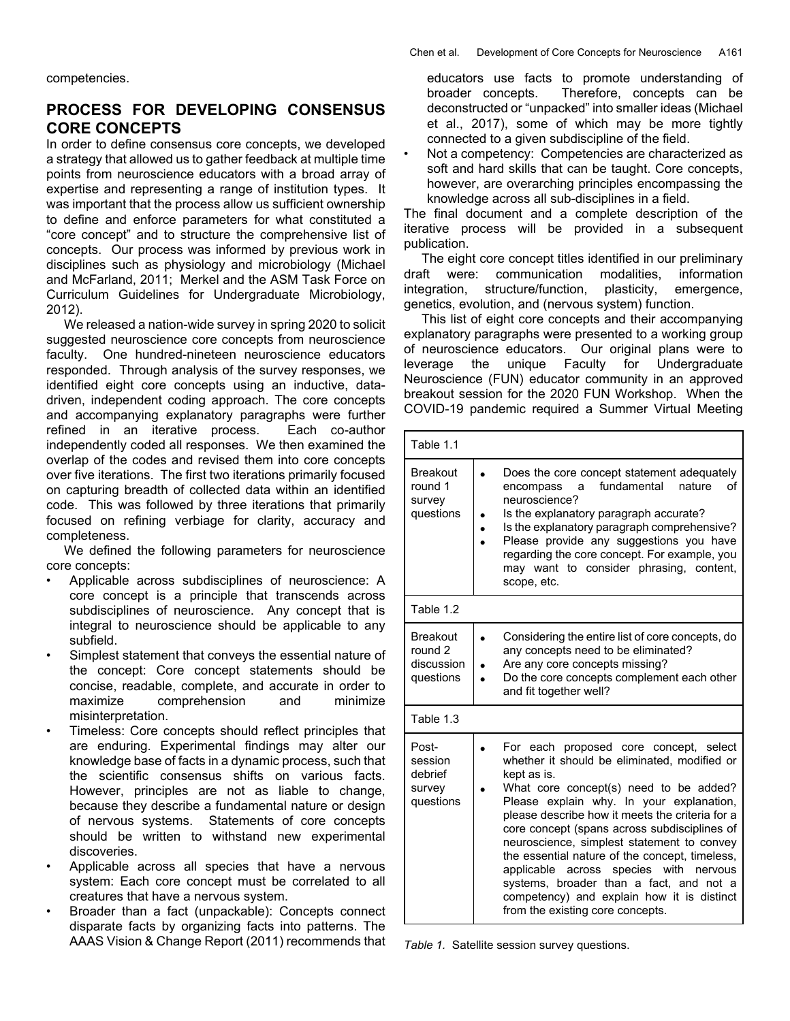competencies.

#### **PROCESS FOR DEVELOPING CONSENSUS CORE CONCEPTS**

In order to define consensus core concepts, we developed a strategy that allowed us to gather feedback at multiple time points from neuroscience educators with a broad array of expertise and representing a range of institution types. It was important that the process allow us sufficient ownership to define and enforce parameters for what constituted a "core concept" and to structure the comprehensive list of concepts. Our process was informed by previous work in disciplines such as physiology and microbiology (Michael and McFarland, 2011; Merkel and the ASM Task Force on Curriculum Guidelines for Undergraduate Microbiology, 2012).

 We released a nation-wide survey in spring 2020 to solicit suggested neuroscience core concepts from neuroscience faculty. One hundred-nineteen neuroscience educators responded. Through analysis of the survey responses, we identified eight core concepts using an inductive, datadriven, independent coding approach. The core concepts and accompanying explanatory paragraphs were further refined in an iterative process. Each co-author independently coded all responses. We then examined the overlap of the codes and revised them into core concepts over five iterations. The first two iterations primarily focused on capturing breadth of collected data within an identified code. This was followed by three iterations that primarily focused on refining verbiage for clarity, accuracy and completeness.

 We defined the following parameters for neuroscience core concepts:

- Applicable across subdisciplines of neuroscience: A core concept is a principle that transcends across subdisciplines of neuroscience. Any concept that is integral to neuroscience should be applicable to any subfield.
- Simplest statement that conveys the essential nature of the concept: Core concept statements should be concise, readable, complete, and accurate in order to maximize comprehension and minimize misinterpretation.
- Timeless: Core concepts should reflect principles that are enduring. Experimental findings may alter our knowledge base of facts in a dynamic process, such that the scientific consensus shifts on various facts. However, principles are not as liable to change, because they describe a fundamental nature or design of nervous systems. Statements of core concepts should be written to withstand new experimental discoveries.
- Applicable across all species that have a nervous system: Each core concept must be correlated to all creatures that have a nervous system.
- Broader than a fact (unpackable): Concepts connect disparate facts by organizing facts into patterns. The AAAS Vision & Change Report (2011) recommends that

educators use facts to promote understanding of broader concepts. Therefore, concepts can be deconstructed or "unpacked" into smaller ideas (Michael et al., 2017), some of which may be more tightly connected to a given subdiscipline of the field.

• Not a competency: Competencies are characterized as soft and hard skills that can be taught. Core concepts, however, are overarching principles encompassing the knowledge across all sub-disciplines in a field.

The final document and a complete description of the iterative process will be provided in a subsequent publication.

 The eight core concept titles identified in our preliminary draft were: communication modalities, information integration, structure/function, plasticity, emergence, genetics, evolution, and (nervous system) function.

 This list of eight core concepts and their accompanying explanatory paragraphs were presented to a working group of neuroscience educators. Our original plans were to leverage the unique Faculty for Undergraduate Neuroscience (FUN) educator community in an approved breakout session for the 2020 FUN Workshop. When the COVID-19 pandemic required a Summer Virtual Meeting

| Table 1.1                                             |                                                                                                                                                                                                                                                                                                                                                                                                                                                                                                                                                                                |
|-------------------------------------------------------|--------------------------------------------------------------------------------------------------------------------------------------------------------------------------------------------------------------------------------------------------------------------------------------------------------------------------------------------------------------------------------------------------------------------------------------------------------------------------------------------------------------------------------------------------------------------------------|
| <b>Breakout</b><br>round 1<br>survey<br>questions     | Does the core concept statement adequately<br>fundamental<br>nature<br>οf<br>encompass<br>a<br>neuroscience?<br>Is the explanatory paragraph accurate?<br>Is the explanatory paragraph comprehensive?<br>$\bullet$<br>Please provide any suggestions you have<br>regarding the core concept. For example, you<br>may want to consider phrasing, content,<br>scope, etc.                                                                                                                                                                                                        |
| Table 1.2                                             |                                                                                                                                                                                                                                                                                                                                                                                                                                                                                                                                                                                |
| <b>Breakout</b><br>round 2<br>discussion<br>questions | Considering the entire list of core concepts, do<br>any concepts need to be eliminated?<br>Are any core concepts missing?<br>Do the core concepts complement each other<br>$\bullet$<br>and fit together well?                                                                                                                                                                                                                                                                                                                                                                 |
| Table 1.3                                             |                                                                                                                                                                                                                                                                                                                                                                                                                                                                                                                                                                                |
| Post-<br>session<br>debrief<br>survey<br>questions    | For each proposed core concept, select<br>whether it should be eliminated, modified or<br>kept as is.<br>What core concept(s) need to be added?<br>Please explain why. In your explanation,<br>please describe how it meets the criteria for a<br>core concept (spans across subdisciplines of<br>neuroscience, simplest statement to convey<br>the essential nature of the concept, timeless,<br>across species<br>with<br>applicable<br>nervous<br>systems, broader than a fact, and not a<br>competency) and explain how it is distinct<br>from the existing core concepts. |

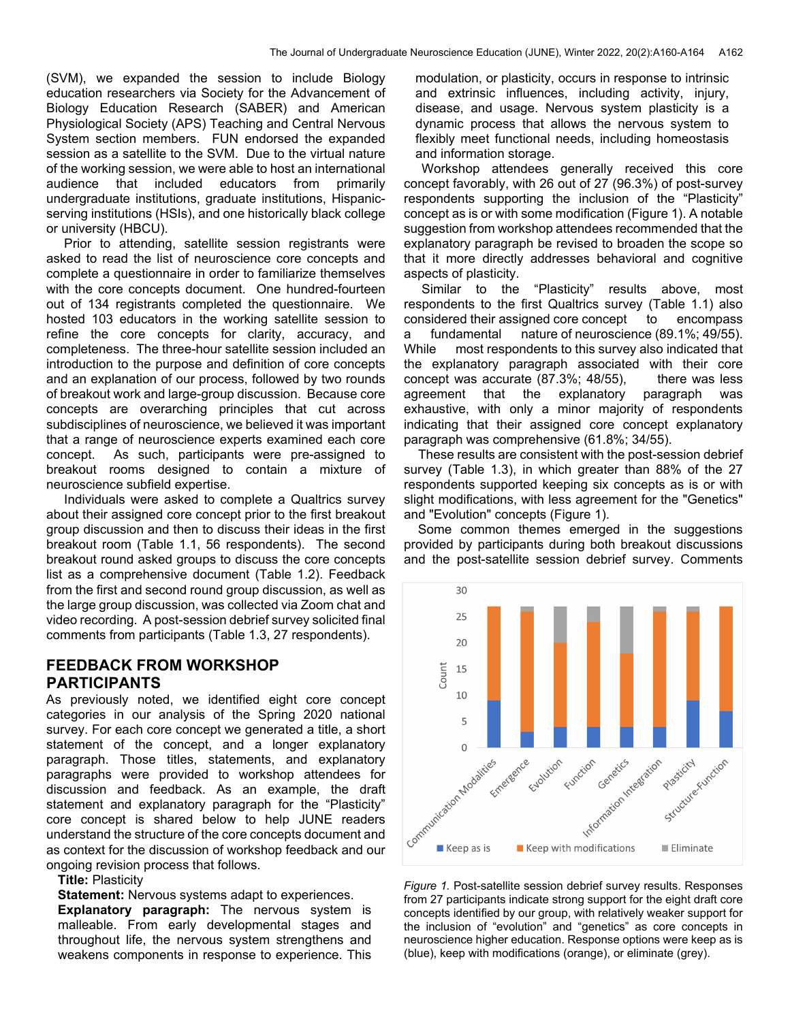(SVM), we expanded the session to include Biology education researchers via Society for the Advancement of Biology Education Research (SABER) and American Physiological Society (APS) Teaching and Central Nervous System section members. FUN endorsed the expanded session as a satellite to the SVM. Due to the virtual nature of the working session, we were able to host an international audience that included educators from primarily undergraduate institutions, graduate institutions, Hispanicserving institutions (HSIs), and one historically black college or university (HBCU).

 Prior to attending, satellite session registrants were asked to read the list of neuroscience core concepts and complete a questionnaire in order to familiarize themselves with the core concepts document. One hundred-fourteen out of 134 registrants completed the questionnaire. We hosted 103 educators in the working satellite session to refine the core concepts for clarity, accuracy, and completeness. The three-hour satellite session included an introduction to the purpose and definition of core concepts and an explanation of our process, followed by two rounds of breakout work and large-group discussion. Because core concepts are overarching principles that cut across subdisciplines of neuroscience, we believed it was important that a range of neuroscience experts examined each core concept. As such, participants were pre-assigned to breakout rooms designed to contain a mixture of neuroscience subfield expertise.

 Individuals were asked to complete a Qualtrics survey about their assigned core concept prior to the first breakout group discussion and then to discuss their ideas in the first breakout room (Table 1.1, 56 respondents). The second breakout round asked groups to discuss the core concepts list as a comprehensive document (Table 1.2). Feedback from the first and second round group discussion, as well as the large group discussion, was collected via Zoom chat and video recording. A post-session debrief survey solicited final comments from participants (Table 1.3, 27 respondents).

#### **FEEDBACK FROM WORKSHOP PARTICIPANTS**

As previously noted, we identified eight core concept categories in our analysis of the Spring 2020 national survey. For each core concept we generated a title, a short statement of the concept, and a longer explanatory paragraph. Those titles, statements, and explanatory paragraphs were provided to workshop attendees for discussion and feedback. As an example, the draft statement and explanatory paragraph for the "Plasticity" core concept is shared below to help JUNE readers understand the structure of the core concepts document and as context for the discussion of workshop feedback and our ongoing revision process that follows.

**Title:** Plasticity

**Statement:** Nervous systems adapt to experiences.

**Explanatory paragraph:** The nervous system is malleable. From early developmental stages and throughout life, the nervous system strengthens and weakens components in response to experience. This

modulation, or plasticity, occurs in response to intrinsic and extrinsic influences, including activity, injury, disease, and usage. Nervous system plasticity is a dynamic process that allows the nervous system to flexibly meet functional needs, including homeostasis and information storage.

 Workshop attendees generally received this core concept favorably, with 26 out of 27 (96.3%) of post-survey respondents supporting the inclusion of the "Plasticity" concept as is or with some modification (Figure 1). A notable suggestion from workshop attendees recommended that the explanatory paragraph be revised to broaden the scope so that it more directly addresses behavioral and cognitive aspects of plasticity.

 Similar to the "Plasticity" results above, most respondents to the first Qualtrics survey (Table 1.1) also considered their assigned core concept to encompass a fundamental nature of neuroscience (89.1%; 49/55). While most respondents to this survey also indicated that the explanatory paragraph associated with their core concept was accurate  $(87.3\%; 48/55)$ , there was less agreement that the explanatory paragraph was exhaustive, with only a minor majority of respondents indicating that their assigned core concept explanatory paragraph was comprehensive (61.8%; 34/55).

 These results are consistent with the post-session debrief survey (Table 1.3), in which greater than 88% of the 27 respondents supported keeping six concepts as is or with slight modifications, with less agreement for the "Genetics" and "Evolution" concepts (Figure 1).

 Some common themes emerged in the suggestions provided by participants during both breakout discussions and the post-satellite session debrief survey. Comments



*Figure 1.* Post-satellite session debrief survey results. Responses from 27 participants indicate strong support for the eight draft core concepts identified by our group, with relatively weaker support for the inclusion of "evolution" and "genetics" as core concepts in neuroscience higher education. Response options were keep as is (blue), keep with modifications (orange), or eliminate (grey).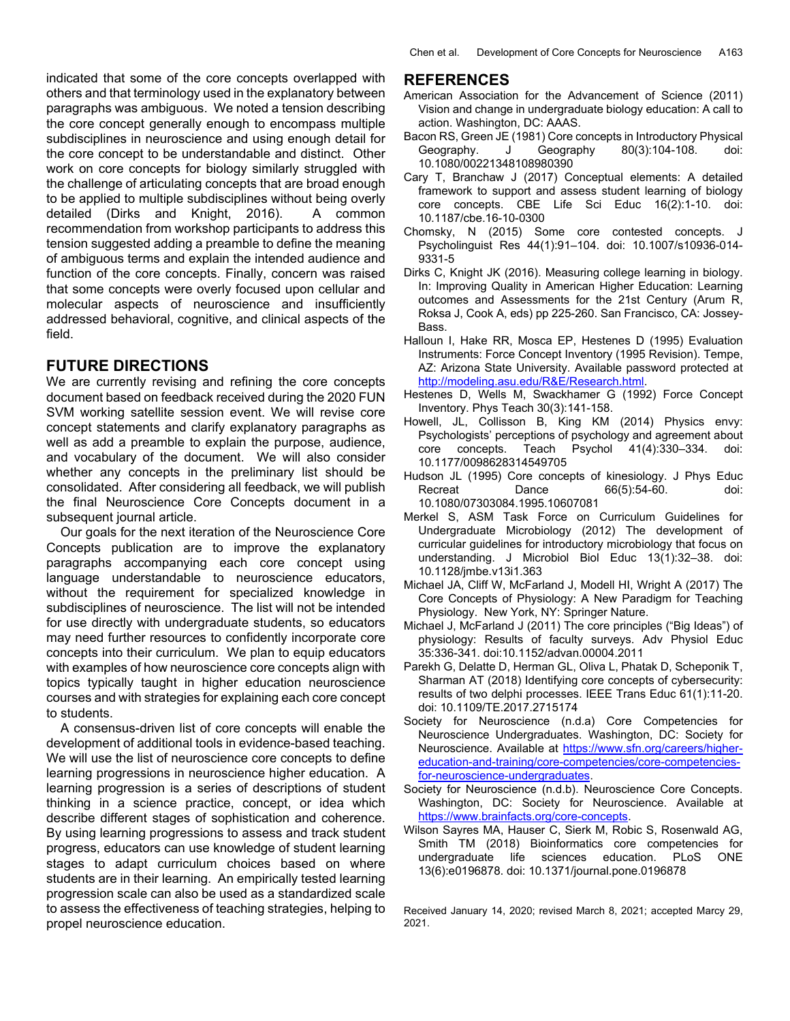indicated that some of the core concepts overlapped with others and that terminology used in the explanatory between paragraphs was ambiguous. We noted a tension describing the core concept generally enough to encompass multiple subdisciplines in neuroscience and using enough detail for the core concept to be understandable and distinct. Other work on core concepts for biology similarly struggled with the challenge of articulating concepts that are broad enough to be applied to multiple subdisciplines without being overly detailed (Dirks and Knight, 2016). A common recommendation from workshop participants to address this tension suggested adding a preamble to define the meaning of ambiguous terms and explain the intended audience and function of the core concepts. Finally, concern was raised that some concepts were overly focused upon cellular and molecular aspects of neuroscience and insufficiently addressed behavioral, cognitive, and clinical aspects of the field.

#### **FUTURE DIRECTIONS**

We are currently revising and refining the core concepts document based on feedback received during the 2020 FUN SVM working satellite session event. We will revise core concept statements and clarify explanatory paragraphs as well as add a preamble to explain the purpose, audience, and vocabulary of the document. We will also consider whether any concepts in the preliminary list should be consolidated. After considering all feedback, we will publish the final Neuroscience Core Concepts document in a subsequent journal article.

 Our goals for the next iteration of the Neuroscience Core Concepts publication are to improve the explanatory paragraphs accompanying each core concept using language understandable to neuroscience educators, without the requirement for specialized knowledge in subdisciplines of neuroscience. The list will not be intended for use directly with undergraduate students, so educators may need further resources to confidently incorporate core concepts into their curriculum. We plan to equip educators with examples of how neuroscience core concepts align with topics typically taught in higher education neuroscience courses and with strategies for explaining each core concept to students.

 A consensus-driven list of core concepts will enable the development of additional tools in evidence-based teaching. We will use the list of neuroscience core concepts to define learning progressions in neuroscience higher education. A learning progression is a series of descriptions of student thinking in a science practice, concept, or idea which describe different stages of sophistication and coherence. By using learning progressions to assess and track student progress, educators can use knowledge of student learning stages to adapt curriculum choices based on where students are in their learning. An empirically tested learning progression scale can also be used as a standardized scale to assess the effectiveness of teaching strategies, helping to propel neuroscience education.

#### **REFERENCES**

- American Association for the Advancement of Science (2011) Vision and change in undergraduate biology education: A call to action. Washington, DC: AAAS.
- Bacon RS, Green JE (1981) Core concepts in Introductory Physical Geography. J Geography 80(3):104-108. doi: 10.1080/00221348108980390
- Cary T, Branchaw J (2017) Conceptual elements: A detailed framework to support and assess student learning of biology core concepts. CBE Life Sci Educ 16(2):1-10. doi: 10.1187/cbe.16-10-0300
- Chomsky, N (2015) Some core contested concepts. J Psycholinguist Res 44(1):91–104. doi: 10.1007/s10936-014- 9331-5
- Dirks C, Knight JK (2016). Measuring college learning in biology. In: Improving Quality in American Higher Education: Learning outcomes and Assessments for the 21st Century (Arum R, Roksa J, Cook A, eds) pp 225-260. San Francisco, CA: Jossey-Bass.
- Halloun I, Hake RR, Mosca EP, Hestenes D (1995) Evaluation Instruments: Force Concept Inventory (1995 Revision). Tempe, AZ: Arizona State University. Available password protected at http://modeling.asu.edu/R&E/Research.html.
- Hestenes D, Wells M, Swackhamer G (1992) Force Concept Inventory. Phys Teach 30(3):141-158.
- Howell, JL, Collisson B, King KM (2014) Physics envy: Psychologists' perceptions of psychology and agreement about core concepts. Teach Psychol 41(4):330–334. doi: 10.1177/0098628314549705
- Hudson JL (1995) Core concepts of kinesiology. J Phys Educ Recreat Dance 66(5):54-60. doi: 10.1080/07303084.1995.10607081
- Merkel S, ASM Task Force on Curriculum Guidelines for Undergraduate Microbiology (2012) The development of curricular guidelines for introductory microbiology that focus on understanding. J Microbiol Biol Educ 13(1):32–38. doi: 10.1128/jmbe.v13i1.363
- Michael JA, Cliff W, McFarland J, Modell HI, Wright A (2017) The Core Concepts of Physiology: A New Paradigm for Teaching Physiology. New York, NY: Springer Nature.
- Michael J, McFarland J (2011) The core principles ("Big Ideas") of physiology: Results of faculty surveys. Adv Physiol Educ 35:336-341. doi:10.1152/advan.00004.2011
- Parekh G, Delatte D, Herman GL, Oliva L, Phatak D, Scheponik T, Sharman AT (2018) Identifying core concepts of cybersecurity: results of two delphi processes. IEEE Trans Educ 61(1):11-20. doi: 10.1109/TE.2017.2715174
- Society for Neuroscience (n.d.a) Core Competencies for Neuroscience Undergraduates. Washington, DC: Society for Neuroscience. Available at https://www.sfn.org/careers/highereducation-and-training/core-competencies/core-competenciesfor-neuroscience-undergraduates.
- Society for Neuroscience (n.d.b). Neuroscience Core Concepts. Washington, DC: Society for Neuroscience. Available at https://www.brainfacts.org/core-concepts.
- Wilson Sayres MA, Hauser C, Sierk M, Robic S, Rosenwald AG, Smith TM (2018) Bioinformatics core competencies for undergraduate life sciences education. PLoS ONE 13(6):e0196878. doi: 10.1371/journal.pone.0196878

Received January 14, 2020; revised March 8, 2021; accepted Marcy 29, 2021.